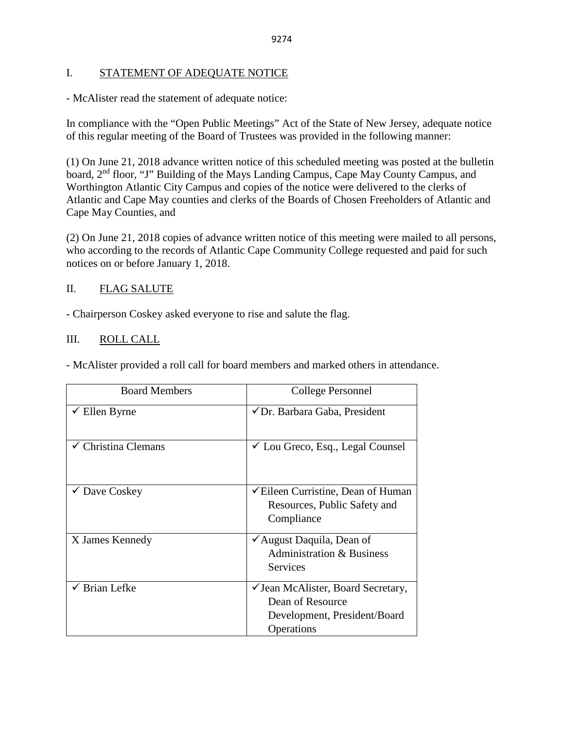### I. STATEMENT OF ADEQUATE NOTICE

- McAlister read the statement of adequate notice:

In compliance with the "Open Public Meetings" Act of the State of New Jersey, adequate notice of this regular meeting of the Board of Trustees was provided in the following manner:

(1) On June 21, 2018 advance written notice of this scheduled meeting was posted at the bulletin board, 2<sup>nd</sup> floor, "J" Building of the Mays Landing Campus, Cape May County Campus, and Worthington Atlantic City Campus and copies of the notice were delivered to the clerks of Atlantic and Cape May counties and clerks of the Boards of Chosen Freeholders of Atlantic and Cape May Counties, and

(2) On June 21, 2018 copies of advance written notice of this meeting were mailed to all persons, who according to the records of Atlantic Cape Community College requested and paid for such notices on or before January 1, 2018.

## II. FLAG SALUTE

- Chairperson Coskey asked everyone to rise and salute the flag.

## III. ROLL CALL

- McAlister provided a roll call for board members and marked others in attendance.

| <b>Board Members</b>     | College Personnel                                                                                    |
|--------------------------|------------------------------------------------------------------------------------------------------|
| $\checkmark$ Ellen Byrne | ✔ Dr. Barbara Gaba, President                                                                        |
| Christina Clemans        | $\checkmark$ Lou Greco, Esq., Legal Counsel                                                          |
| ✔ Dave Coskey            | $\checkmark$ Eileen Curristine, Dean of Human<br>Resources, Public Safety and<br>Compliance          |
| X James Kennedy          | $\checkmark$ August Daquila, Dean of<br><b>Administration &amp; Business</b><br><b>Services</b>      |
| $\checkmark$ Brian Lefke | ✓ Jean McAlister, Board Secretary,<br>Dean of Resource<br>Development, President/Board<br>Operations |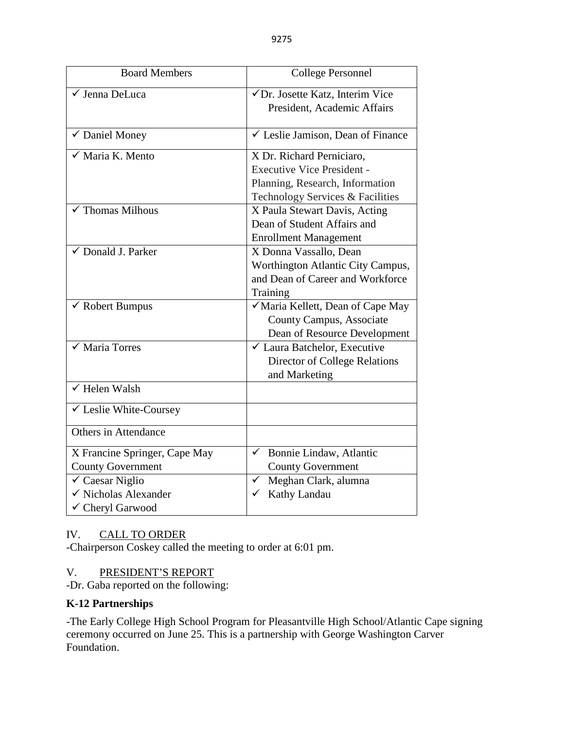| <b>Board Members</b>                                                                                                                | <b>College Personnel</b>                                                                                                              |
|-------------------------------------------------------------------------------------------------------------------------------------|---------------------------------------------------------------------------------------------------------------------------------------|
| √ Jenna DeLuca                                                                                                                      | √Dr. Josette Katz, Interim Vice<br>President, Academic Affairs                                                                        |
| $\checkmark$ Daniel Money                                                                                                           | $\checkmark$ Leslie Jamison, Dean of Finance                                                                                          |
| $\sqrt{\phantom{a}}$ Maria K. Mento                                                                                                 | X Dr. Richard Perniciaro,<br><b>Executive Vice President -</b><br>Planning, Research, Information<br>Technology Services & Facilities |
| <b>Thomas Milhous</b>                                                                                                               | X Paula Stewart Davis, Acting<br>Dean of Student Affairs and<br><b>Enrollment Management</b>                                          |
| ✔ Donald J. Parker                                                                                                                  | X Donna Vassallo, Dean<br>Worthington Atlantic City Campus,<br>and Dean of Career and Workforce<br>Training                           |
| ✔ Robert Bumpus                                                                                                                     | √ Maria Kellett, Dean of Cape May<br>County Campus, Associate<br>Dean of Resource Development                                         |
| $\sqrt{\frac{1}{1}}$ Maria Torres                                                                                                   | $\checkmark$ Laura Batchelor, Executive<br><b>Director of College Relations</b><br>and Marketing                                      |
| $\checkmark$ Helen Walsh                                                                                                            |                                                                                                                                       |
| ✔ Leslie White-Coursey                                                                                                              |                                                                                                                                       |
| Others in Attendance                                                                                                                |                                                                                                                                       |
| X Francine Springer, Cape May<br><b>County Government</b><br>$\checkmark$ Caesar Niglio<br>√ Nicholas Alexander<br>✓ Cheryl Garwood | Bonnie Lindaw, Atlantic<br>$\checkmark$<br><b>County Government</b><br>Meghan Clark, alumna<br>✓<br>Kathy Landau<br>✓                 |

# IV. CALL TO ORDER

-Chairperson Coskey called the meeting to order at 6:01 pm.

## V. PRESIDENT'S REPORT

-Dr. Gaba reported on the following:

# **K-12 Partnerships**

-The Early College High School Program for Pleasantville High School/Atlantic Cape signing ceremony occurred on June 25. This is a partnership with George Washington Carver Foundation.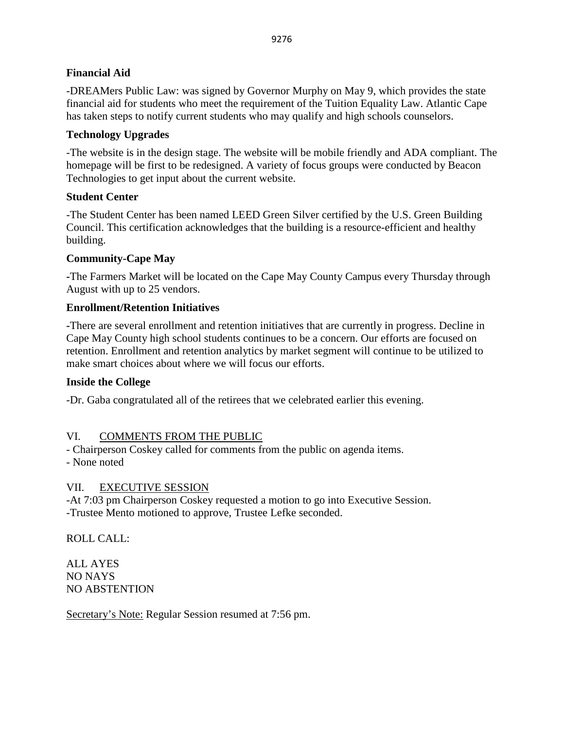## **Financial Aid**

-DREAMers Public Law: was signed by Governor Murphy on May 9, which provides the state financial aid for students who meet the requirement of the Tuition Equality Law. Atlantic Cape has taken steps to notify current students who may qualify and high schools counselors.

## **Technology Upgrades**

-The website is in the design stage. The website will be mobile friendly and ADA compliant. The homepage will be first to be redesigned. A variety of focus groups were conducted by Beacon Technologies to get input about the current website.

## **Student Center**

-The Student Center has been named LEED Green Silver certified by the U.S. Green Building Council. This certification acknowledges that the building is a resource-efficient and healthy building.

## **Community-Cape May**

**-**The Farmers Market will be located on the Cape May County Campus every Thursday through August with up to 25 vendors.

# **Enrollment/Retention Initiatives**

**-**There are several enrollment and retention initiatives that are currently in progress. Decline in Cape May County high school students continues to be a concern. Our efforts are focused on retention. Enrollment and retention analytics by market segment will continue to be utilized to make smart choices about where we will focus our efforts.

## **Inside the College**

-Dr. Gaba congratulated all of the retirees that we celebrated earlier this evening.

## VI. COMMENTS FROM THE PUBLIC

- Chairperson Coskey called for comments from the public on agenda items.

- None noted

## VII. EXECUTIVE SESSION

-At 7:03 pm Chairperson Coskey requested a motion to go into Executive Session. -Trustee Mento motioned to approve, Trustee Lefke seconded.

ROLL CALL:

ALL AYES NO NAYS NO ABSTENTION

Secretary's Note: Regular Session resumed at 7:56 pm.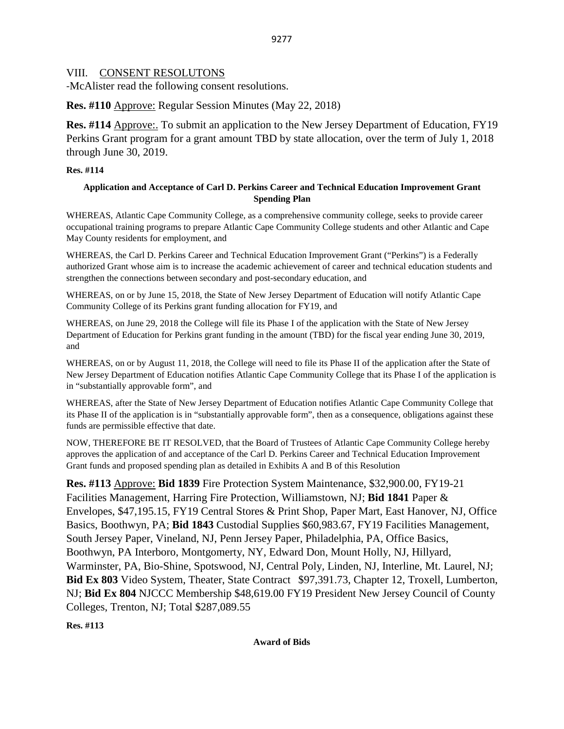### VIII. CONSENT RESOLUTONS

-McAlister read the following consent resolutions.

**Res. #110** Approve: Regular Session Minutes (May 22, 2018)

**Res. #114** Approve:. To submit an application to the New Jersey Department of Education, FY19 Perkins Grant program for a grant amount TBD by state allocation, over the term of July 1, 2018 through June 30, 2019.

### **Res. #114**

### **Application and Acceptance of Carl D. Perkins Career and Technical Education Improvement Grant Spending Plan**

WHEREAS, Atlantic Cape Community College, as a comprehensive community college, seeks to provide career occupational training programs to prepare Atlantic Cape Community College students and other Atlantic and Cape May County residents for employment, and

WHEREAS, the Carl D. Perkins Career and Technical Education Improvement Grant ("Perkins") is a Federally authorized Grant whose aim is to increase the academic achievement of career and technical education students and strengthen the connections between secondary and post-secondary education, and

WHEREAS, on or by June 15, 2018, the State of New Jersey Department of Education will notify Atlantic Cape Community College of its Perkins grant funding allocation for FY19, and

WHEREAS, on June 29, 2018 the College will file its Phase I of the application with the State of New Jersey Department of Education for Perkins grant funding in the amount (TBD) for the fiscal year ending June 30, 2019, and

WHEREAS, on or by August 11, 2018, the College will need to file its Phase II of the application after the State of New Jersey Department of Education notifies Atlantic Cape Community College that its Phase I of the application is in "substantially approvable form", and

WHEREAS, after the State of New Jersey Department of Education notifies Atlantic Cape Community College that its Phase II of the application is in "substantially approvable form", then as a consequence, obligations against these funds are permissible effective that date.

NOW, THEREFORE BE IT RESOLVED, that the Board of Trustees of Atlantic Cape Community College hereby approves the application of and acceptance of the Carl D. Perkins Career and Technical Education Improvement Grant funds and proposed spending plan as detailed in Exhibits A and B of this Resolution

**Res. #113** Approve: **Bid 1839** Fire Protection System Maintenance, \$32,900.00, FY19-21 Facilities Management, Harring Fire Protection, Williamstown, NJ; **Bid 1841** Paper & Envelopes, \$47,195.15, FY19 Central Stores & Print Shop, Paper Mart, East Hanover, NJ, Office Basics, Boothwyn, PA; **Bid 1843** Custodial Supplies \$60,983.67, FY19 Facilities Management, South Jersey Paper, Vineland, NJ, Penn Jersey Paper, Philadelphia, PA, Office Basics, Boothwyn, PA Interboro, Montgomerty, NY, Edward Don, Mount Holly, NJ, Hillyard, Warminster, PA, Bio-Shine, Spotswood, NJ, Central Poly, Linden, NJ, Interline, Mt. Laurel, NJ; **Bid Ex 803** Video System, Theater, State Contract \$97,391.73, Chapter 12, Troxell, Lumberton, NJ; **Bid Ex 804** NJCCC Membership \$48,619.00 FY19 President New Jersey Council of County Colleges, Trenton, NJ; Total \$287,089.55

**Res. #113**

**Award of Bids**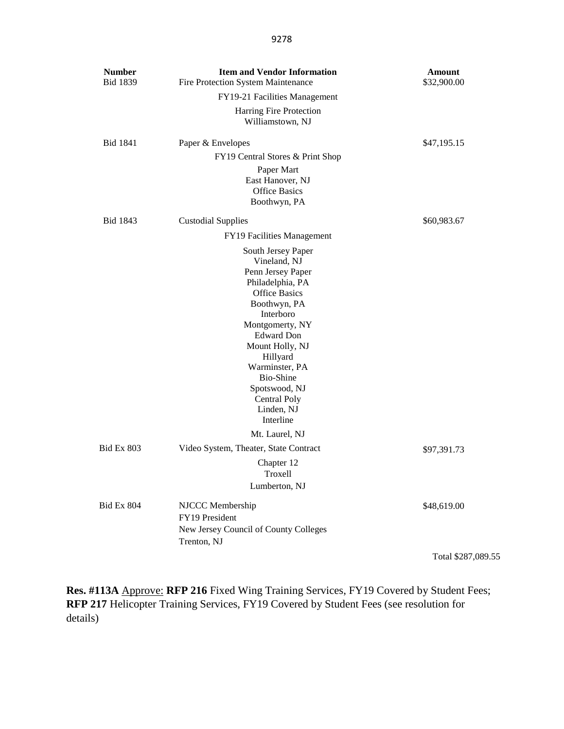| <b>Number</b><br><b>Bid 1839</b> | <b>Item and Vendor Information</b><br>Fire Protection System Maintenance                                                                                                                                                                                                                           | Amount<br>\$32,900.00 |
|----------------------------------|----------------------------------------------------------------------------------------------------------------------------------------------------------------------------------------------------------------------------------------------------------------------------------------------------|-----------------------|
|                                  | FY19-21 Facilities Management                                                                                                                                                                                                                                                                      |                       |
|                                  | Harring Fire Protection<br>Williamstown, NJ                                                                                                                                                                                                                                                        |                       |
| <b>Bid 1841</b>                  | Paper & Envelopes                                                                                                                                                                                                                                                                                  | \$47,195.15           |
|                                  | FY19 Central Stores & Print Shop                                                                                                                                                                                                                                                                   |                       |
|                                  | Paper Mart<br>East Hanover, NJ<br><b>Office Basics</b><br>Boothwyn, PA                                                                                                                                                                                                                             |                       |
| Bid 1843                         | <b>Custodial Supplies</b>                                                                                                                                                                                                                                                                          | \$60,983.67           |
|                                  | FY19 Facilities Management                                                                                                                                                                                                                                                                         |                       |
|                                  | South Jersey Paper<br>Vineland, NJ<br>Penn Jersey Paper<br>Philadelphia, PA<br><b>Office Basics</b><br>Boothwyn, PA<br>Interboro<br>Montgomerty, NY<br><b>Edward Don</b><br>Mount Holly, NJ<br>Hillyard<br>Warminster, PA<br>Bio-Shine<br>Spotswood, NJ<br>Central Poly<br>Linden, NJ<br>Interline |                       |
|                                  | Mt. Laurel, NJ                                                                                                                                                                                                                                                                                     |                       |
| <b>Bid Ex 803</b>                | Video System, Theater, State Contract                                                                                                                                                                                                                                                              | \$97,391.73           |
|                                  | Chapter 12<br>Troxell                                                                                                                                                                                                                                                                              |                       |
|                                  | Lumberton, NJ                                                                                                                                                                                                                                                                                      |                       |
| <b>Bid Ex 804</b>                | NJCCC Membership<br>FY19 President<br>New Jersey Council of County Colleges<br>Trenton, NJ                                                                                                                                                                                                         | \$48,619.00           |
|                                  |                                                                                                                                                                                                                                                                                                    | Total \$287,089.55    |

Res. #113A Approve: RFP 216 Fixed Wing Training Services, FY19 Covered by Student Fees; **RFP 217** Helicopter Training Services, FY19 Covered by Student Fees (see resolution for details)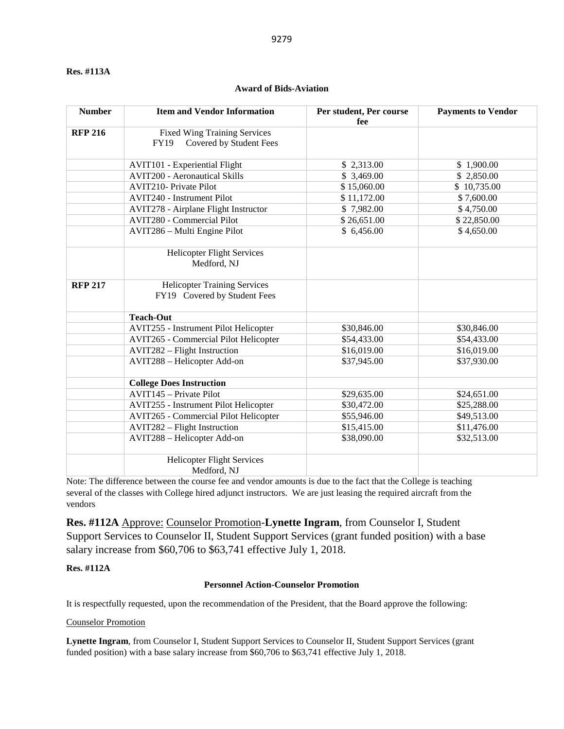#### **Res. #113A**

## **Number Item and Vendor Information Per student, Per course fee Payments to Vendor RFP 216** Fixed Wing Training Services FY19 Covered by Student Fees AVIT101 - Experiential Flight  $\begin{array}{ccc} 1,900.00 \\ \hline \end{array}$  \$ 2,313.00  $\begin{array}{ccc} 1,900.00 \\ \hline \end{array}$ AVIT200 - Aeronautical Skills  $$3,469.00$   $$2,850.00$ AVIT210- Private Pilot  $$ 15,060.00$   $$ 10,735.00$ AVIT240 - Instrument Pilot  $$11,172.00$   $$7,600.00$ AVIT278 - Airplane Flight Instructor \$ 7,982.00 \$ 4,750.00 AVIT280 - Commercial Pilot  $$26,651.00$   $$22,850.00$ AVIT286 – Multi Engine Pilot  $$ 6,456.00$   $$ 4,650.00$ Helicopter Flight Services Medford, NJ **RFP 217** Helicopter Training Services FY19 Covered by Student Fees **Teach-Out** AVIT255 - Instrument Pilot Helicopter \$30,846.00 \$30,846.00 AVIT265 - Commercial Pilot Helicopter  $$54,433.00$   $$54,433.00$ AVIT282 – Flight Instruction  $$16,019.00$   $$16,019.00$   $$16,019.00$ AVIT288 – Helicopter Add-on  $$37,945.00$   $$37,930.00$ **College Does Instruction** AVIT145 – Private Pilot **\$29,635.00** \$24,651.00 AVIT255 - Instrument Pilot Helicopter  $$30,472.00$   $$25,288.00$ AVIT265 - Commercial Pilot Helicopter  $$55,946.00$   $$49,513.00$  $AVIT282 - Flight Instruction$   $$15,415.00$   $$11,476.00$ AVIT288 – Helicopter Add-on  $$38,090.00$   $$32,513.00$ Helicopter Flight Services Medford, NJ

Note: The difference between the course fee and vendor amounts is due to the fact that the College is teaching several of the classes with College hired adjunct instructors. We are just leasing the required aircraft from the vendors

**Res. #112A** Approve: Counselor Promotion-**Lynette Ingram**, from Counselor I, Student Support Services to Counselor II, Student Support Services (grant funded position) with a base salary increase from \$60,706 to \$63,741 effective July 1, 2018.

### **Res. #112A**

#### **Personnel Action-Counselor Promotion**

It is respectfully requested, upon the recommendation of the President, that the Board approve the following:

#### Counselor Promotion

**Lynette Ingram**, from Counselor I, Student Support Services to Counselor II, Student Support Services (grant funded position) with a base salary increase from \$60,706 to \$63,741 effective July 1, 2018.

### **Award of Bids-Aviation**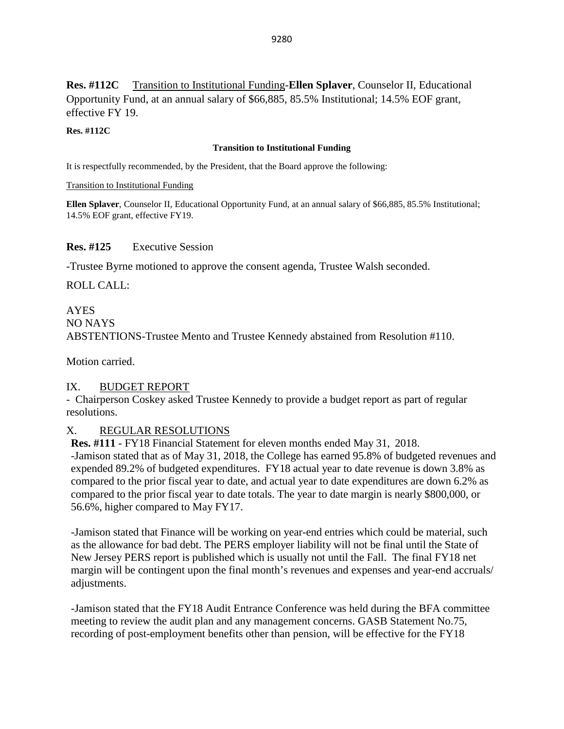**Res. #112C** Transition to Institutional Funding-**Ellen Splaver**, Counselor II, Educational Opportunity Fund, at an annual salary of \$66,885, 85.5% Institutional; 14.5% EOF grant, effective FY 19.

### **Res. #112C**

### **Transition to Institutional Funding**

It is respectfully recommended, by the President, that the Board approve the following:

Transition to Institutional Funding

**Ellen Splaver**, Counselor II, Educational Opportunity Fund, at an annual salary of \$66,885, 85.5% Institutional; 14.5% EOF grant, effective FY19.

### **Res. #125** Executive Session

-Trustee Byrne motioned to approve the consent agenda, Trustee Walsh seconded.

ROLL CALL:

# AYES NO NAYS ABSTENTIONS-Trustee Mento and Trustee Kennedy abstained from Resolution #110.

Motion carried.

### IX. BUDGET REPORT

- Chairperson Coskey asked Trustee Kennedy to provide a budget report as part of regular resolutions.

## X. REGULAR RESOLUTIONS

**Res. #111** - FY18 Financial Statement for eleven months ended May 31, 2018.

-Jamison stated that as of May 31, 2018, the College has earned 95.8% of budgeted revenues and expended 89.2% of budgeted expenditures. FY18 actual year to date revenue is down 3.8% as compared to the prior fiscal year to date, and actual year to date expenditures are down 6.2% as compared to the prior fiscal year to date totals. The year to date margin is nearly \$800,000, or 56.6%, higher compared to May FY17.

-Jamison stated that Finance will be working on year-end entries which could be material, such as the allowance for bad debt. The PERS employer liability will not be final until the State of New Jersey PERS report is published which is usually not until the Fall. The final FY18 net margin will be contingent upon the final month's revenues and expenses and year-end accruals/ adjustments.

-Jamison stated that the FY18 Audit Entrance Conference was held during the BFA committee meeting to review the audit plan and any management concerns. GASB Statement No.75, recording of post-employment benefits other than pension, will be effective for the FY18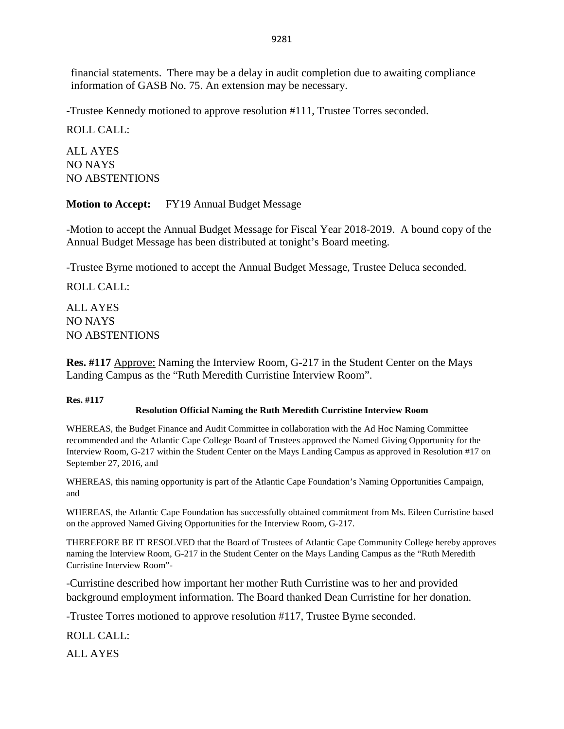financial statements. There may be a delay in audit completion due to awaiting compliance information of GASB No. 75. An extension may be necessary.

-Trustee Kennedy motioned to approve resolution #111, Trustee Torres seconded.

ROLL CALL:

ALL AYES NO NAYS NO ABSTENTIONS

**Motion to Accept:** FY19 Annual Budget Message

-Motion to accept the Annual Budget Message for Fiscal Year 2018-2019. A bound copy of the Annual Budget Message has been distributed at tonight's Board meeting.

-Trustee Byrne motioned to accept the Annual Budget Message, Trustee Deluca seconded.

ROLL CALL:

ALL AYES NO NAYS NO ABSTENTIONS

**Res. #117** Approve: Naming the Interview Room, G-217 in the Student Center on the Mays Landing Campus as the "Ruth Meredith Curristine Interview Room".

### **Res. #117**

### **Resolution Official Naming the Ruth Meredith Curristine Interview Room**

WHEREAS, the Budget Finance and Audit Committee in collaboration with the Ad Hoc Naming Committee recommended and the Atlantic Cape College Board of Trustees approved the Named Giving Opportunity for the Interview Room, G-217 within the Student Center on the Mays Landing Campus as approved in Resolution #17 on September 27, 2016, and

WHEREAS, this naming opportunity is part of the Atlantic Cape Foundation's Naming Opportunities Campaign, and

WHEREAS, the Atlantic Cape Foundation has successfully obtained commitment from Ms. Eileen Curristine based on the approved Named Giving Opportunities for the Interview Room, G-217.

THEREFORE BE IT RESOLVED that the Board of Trustees of Atlantic Cape Community College hereby approves naming the Interview Room, G-217 in the Student Center on the Mays Landing Campus as the "Ruth Meredith Curristine Interview Room"-

-Curristine described how important her mother Ruth Curristine was to her and provided background employment information. The Board thanked Dean Curristine for her donation.

-Trustee Torres motioned to approve resolution #117, Trustee Byrne seconded.

ROLL CALL:

ALL AYES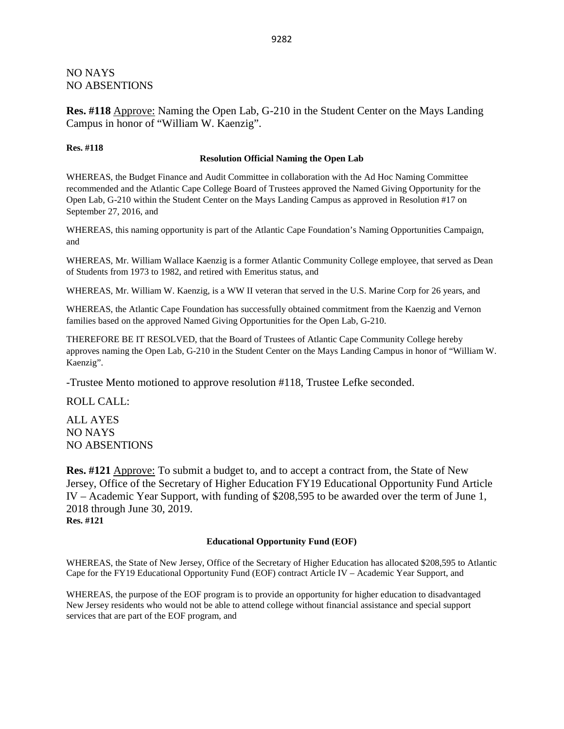### NO NAYS NO ABSENTIONS

**Res. #118** Approve: Naming the Open Lab, G-210 in the Student Center on the Mays Landing Campus in honor of "William W. Kaenzig".

#### **Res. #118**

#### **Resolution Official Naming the Open Lab**

WHEREAS, the Budget Finance and Audit Committee in collaboration with the Ad Hoc Naming Committee recommended and the Atlantic Cape College Board of Trustees approved the Named Giving Opportunity for the Open Lab, G-210 within the Student Center on the Mays Landing Campus as approved in Resolution #17 on September 27, 2016, and

WHEREAS, this naming opportunity is part of the Atlantic Cape Foundation's Naming Opportunities Campaign, and

WHEREAS, Mr. William Wallace Kaenzig is a former Atlantic Community College employee, that served as Dean of Students from 1973 to 1982, and retired with Emeritus status, and

WHEREAS, Mr. William W. Kaenzig, is a WW II veteran that served in the U.S. Marine Corp for 26 years, and

WHEREAS, the Atlantic Cape Foundation has successfully obtained commitment from the Kaenzig and Vernon families based on the approved Named Giving Opportunities for the Open Lab, G-210.

THEREFORE BE IT RESOLVED, that the Board of Trustees of Atlantic Cape Community College hereby approves naming the Open Lab, G-210 in the Student Center on the Mays Landing Campus in honor of "William W. Kaenzig".

-Trustee Mento motioned to approve resolution #118, Trustee Lefke seconded.

ROLL CALL:

ALL AYES NO NAYS NO ABSENTIONS

**Res. #121** Approve: To submit a budget to, and to accept a contract from, the State of New Jersey, Office of the Secretary of Higher Education FY19 Educational Opportunity Fund Article IV – Academic Year Support, with funding of \$208,595 to be awarded over the term of June 1, 2018 through June 30, 2019. **Res. #121**

**Educational Opportunity Fund (EOF)**

WHEREAS, the State of New Jersey, Office of the Secretary of Higher Education has allocated \$208,595 to Atlantic Cape for the FY19 Educational Opportunity Fund (EOF) contract Article IV – Academic Year Support, and

WHEREAS, the purpose of the EOF program is to provide an opportunity for higher education to disadvantaged New Jersey residents who would not be able to attend college without financial assistance and special support services that are part of the EOF program, and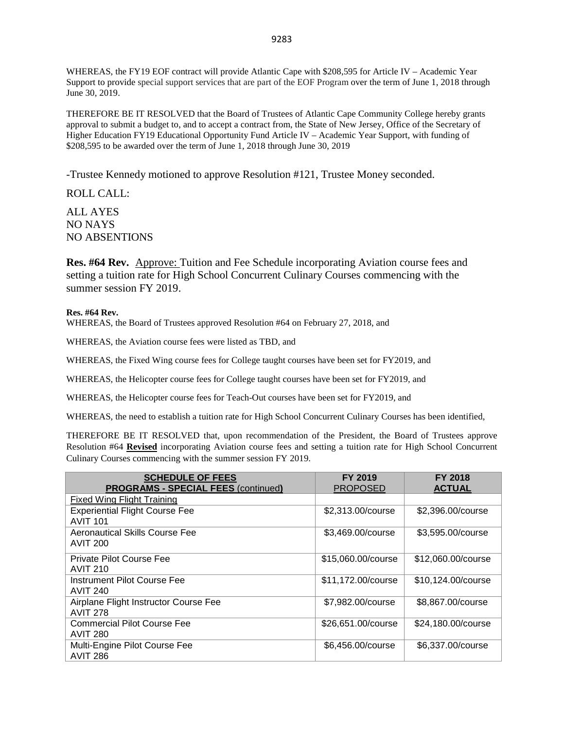WHEREAS, the FY19 EOF contract will provide Atlantic Cape with \$208,595 for Article IV – Academic Year Support to provide special support services that are part of the EOF Program over the term of June 1, 2018 through June 30, 2019.

THEREFORE BE IT RESOLVED that the Board of Trustees of Atlantic Cape Community College hereby grants approval to submit a budget to, and to accept a contract from, the State of New Jersey, Office of the Secretary of Higher Education FY19 Educational Opportunity Fund Article IV – Academic Year Support, with funding of \$208,595 to be awarded over the term of June 1, 2018 through June 30, 2019

-Trustee Kennedy motioned to approve Resolution #121, Trustee Money seconded.

ROLL CALL:

ALL AYES NO NAYS NO ABSENTIONS

**Res. #64 Rev.** Approve: Tuition and Fee Schedule incorporating Aviation course fees and setting a tuition rate for High School Concurrent Culinary Courses commencing with the summer session FY 2019.

### **Res. #64 Rev.**

WHEREAS, the Board of Trustees approved Resolution #64 on February 27, 2018, and

WHEREAS, the Aviation course fees were listed as TBD, and

WHEREAS, the Fixed Wing course fees for College taught courses have been set for FY2019, and

WHEREAS, the Helicopter course fees for College taught courses have been set for FY2019, and

WHEREAS, the Helicopter course fees for Teach-Out courses have been set for FY2019, and

WHEREAS, the need to establish a tuition rate for High School Concurrent Culinary Courses has been identified,

THEREFORE BE IT RESOLVED that, upon recommendation of the President, the Board of Trustees approve Resolution #64 **Revised** incorporating Aviation course fees and setting a tuition rate for High School Concurrent Culinary Courses commencing with the summer session FY 2019.

| <b>SCHEDULE OF FEES</b>                    | <b>FY 2019</b>     | <b>FY 2018</b>     |
|--------------------------------------------|--------------------|--------------------|
| <b>PROGRAMS - SPECIAL FEES (continued)</b> | <b>PROPOSED</b>    | <b>ACTUAL</b>      |
| <b>Fixed Wing Flight Training</b>          |                    |                    |
| <b>Experiential Flight Course Fee</b>      | \$2,313.00/course  | \$2,396.00/course  |
| <b>AVIT 101</b>                            |                    |                    |
| Aeronautical Skills Course Fee             | \$3,469.00/course  | \$3,595.00/course  |
| <b>AVIT 200</b>                            |                    |                    |
| Private Pilot Course Fee                   | \$15,060.00/course | \$12,060.00/course |
| <b>AVIT 210</b>                            |                    |                    |
| Instrument Pilot Course Fee                | \$11,172.00/course | \$10,124.00/course |
| <b>AVIT 240</b>                            |                    |                    |
| Airplane Flight Instructor Course Fee      | \$7,982.00/course  | \$8,867.00/course  |
| <b>AVIT 278</b>                            |                    |                    |
| <b>Commercial Pilot Course Fee</b>         | \$26,651.00/course | \$24,180.00/course |
| <b>AVIT 280</b>                            |                    |                    |
| Multi-Engine Pilot Course Fee              | \$6,456.00/course  | \$6,337.00/course  |
| <b>AVIT 286</b>                            |                    |                    |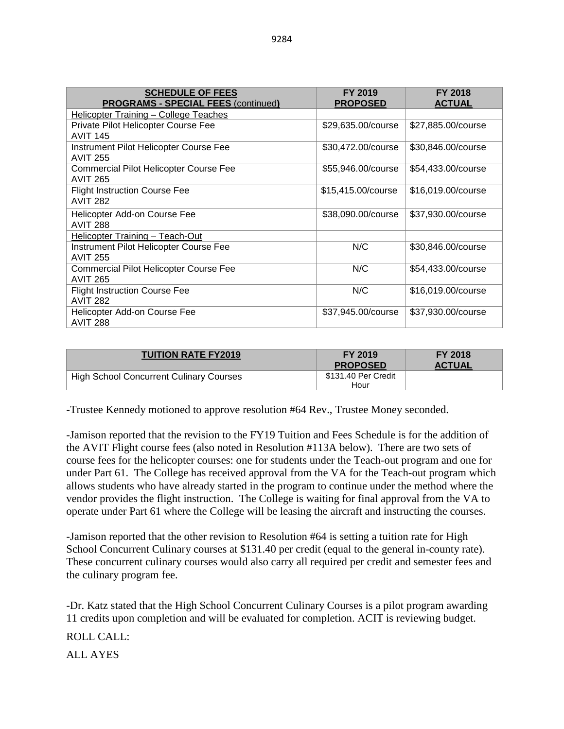| <b>SCHEDULE OF FEES</b><br><b>PROGRAMS - SPECIAL FEES (continued)</b> | <b>FY 2019</b><br><b>PROPOSED</b> | <b>FY 2018</b><br><b>ACTUAL</b> |
|-----------------------------------------------------------------------|-----------------------------------|---------------------------------|
| Helicopter Training - College Teaches                                 |                                   |                                 |
| Private Pilot Helicopter Course Fee<br><b>AVIT 145</b>                | \$29,635.00/course                | \$27,885.00/course              |
| Instrument Pilot Helicopter Course Fee<br><b>AVIT 255</b>             | \$30,472.00/course                | \$30,846.00/course              |
| <b>Commercial Pilot Helicopter Course Fee</b><br><b>AVIT 265</b>      | \$55,946.00/course                | \$54,433.00/course              |
| <b>Flight Instruction Course Fee</b><br><b>AVIT 282</b>               | \$15,415.00/course                | \$16,019.00/course              |
| Helicopter Add-on Course Fee<br><b>AVIT 288</b>                       | \$38,090.00/course                | \$37,930.00/course              |
| Helicopter Training - Teach-Out                                       |                                   |                                 |
| Instrument Pilot Helicopter Course Fee<br><b>AVIT 255</b>             | N/C                               | \$30,846.00/course              |
| <b>Commercial Pilot Helicopter Course Fee</b><br><b>AVIT 265</b>      | N/C                               | \$54,433.00/course              |
| <b>Flight Instruction Course Fee</b><br><b>AVIT 282</b>               | N/C                               | \$16,019.00/course              |
| Helicopter Add-on Course Fee<br><b>AVIT 288</b>                       | \$37,945.00/course                | \$37,930.00/course              |

| <b>TUITION RATE FY2019</b>              | FY 2019<br><b>PROPOSED</b>  | <b>FY 2018</b><br><b>ACTUAL</b> |
|-----------------------------------------|-----------------------------|---------------------------------|
| High School Concurrent Culinary Courses | \$131.40 Per Credit<br>Hour |                                 |

-Trustee Kennedy motioned to approve resolution #64 Rev., Trustee Money seconded.

-Jamison reported that the revision to the FY19 Tuition and Fees Schedule is for the addition of the AVIT Flight course fees (also noted in Resolution #113A below). There are two sets of course fees for the helicopter courses: one for students under the Teach-out program and one for under Part 61. The College has received approval from the VA for the Teach-out program which allows students who have already started in the program to continue under the method where the vendor provides the flight instruction. The College is waiting for final approval from the VA to operate under Part 61 where the College will be leasing the aircraft and instructing the courses.

-Jamison reported that the other revision to Resolution #64 is setting a tuition rate for High School Concurrent Culinary courses at \$131.40 per credit (equal to the general in-county rate). These concurrent culinary courses would also carry all required per credit and semester fees and the culinary program fee.

-Dr. Katz stated that the High School Concurrent Culinary Courses is a pilot program awarding 11 credits upon completion and will be evaluated for completion. ACIT is reviewing budget.

ROLL CALL:

ALL AYES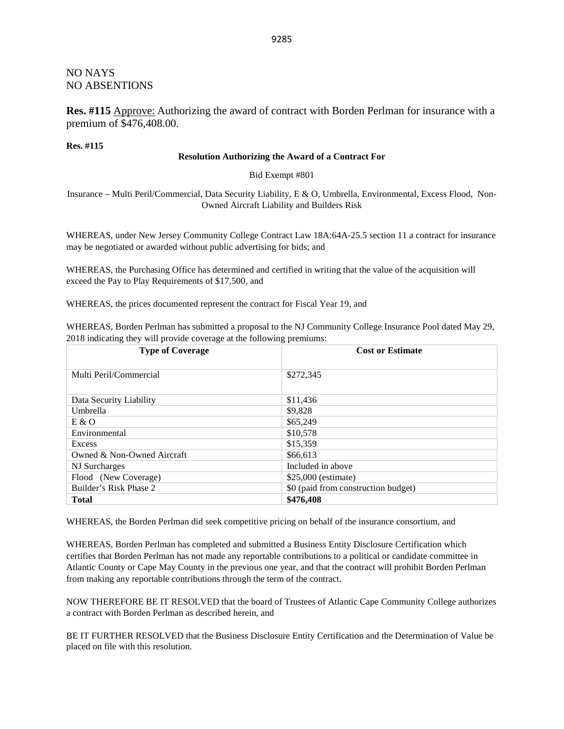### NO NAYS NO ABSENTIONS

**Res. #115** Approve: Authorizing the award of contract with Borden Perlman for insurance with a premium of \$476,408.00.

**Res. #115**

#### **Resolution Authorizing the Award of a Contract For**

Bid Exempt #801

Insurance – Multi Peril/Commercial, Data Security Liability, E & O, Umbrella, Environmental, Excess Flood, Non-Owned Aircraft Liability and Builders Risk

WHEREAS, under New Jersey Community College Contract Law 18A:64A-25.5 section 11 a contract for insurance may be negotiated or awarded without public advertising for bids; and

WHEREAS, the Purchasing Office has determined and certified in writing that the value of the acquisition will exceed the Pay to Play Requirements of \$17,500, and

WHEREAS, the prices documented represent the contract for Fiscal Year 19, and

WHEREAS, Borden Perlman has submitted a proposal to the NJ Community College Insurance Pool dated May 29, 2018 indicating they will provide coverage at the following premiums:

| <b>Type of Coverage</b>    | <b>Cost or Estimate</b>             |
|----------------------------|-------------------------------------|
|                            |                                     |
| Multi Peril/Commercial     | \$272,345                           |
| Data Security Liability    | \$11,436                            |
| Umbrella                   | \$9,828                             |
| E & O                      | \$65,249                            |
| Environmental              | \$10,578                            |
| Excess                     | \$15,359                            |
| Owned & Non-Owned Aircraft | \$66,613                            |
| NJ Surcharges              | Included in above                   |
| Flood (New Coverage)       | \$25,000 (estimate)                 |
| Builder's Risk Phase 2     | \$0 (paid from construction budget) |
| <b>Total</b>               | \$476,408                           |

WHEREAS, the Borden Perlman did seek competitive pricing on behalf of the insurance consortium, and

WHEREAS, Borden Perlman has completed and submitted a Business Entity Disclosure Certification which certifies that Borden Perlman has not made any reportable contributions to a political or candidate committee in Atlantic County or Cape May County in the previous one year, and that the contract will prohibit Borden Perlman from making any reportable contributions through the term of the contract.

NOW THEREFORE BE IT RESOLVED that the board of Trustees of Atlantic Cape Community College authorizes a contract with Borden Perlman as described herein, and

BE IT FURTHER RESOLVED that the Business Disclosure Entity Certification and the Determination of Value be placed on file with this resolution.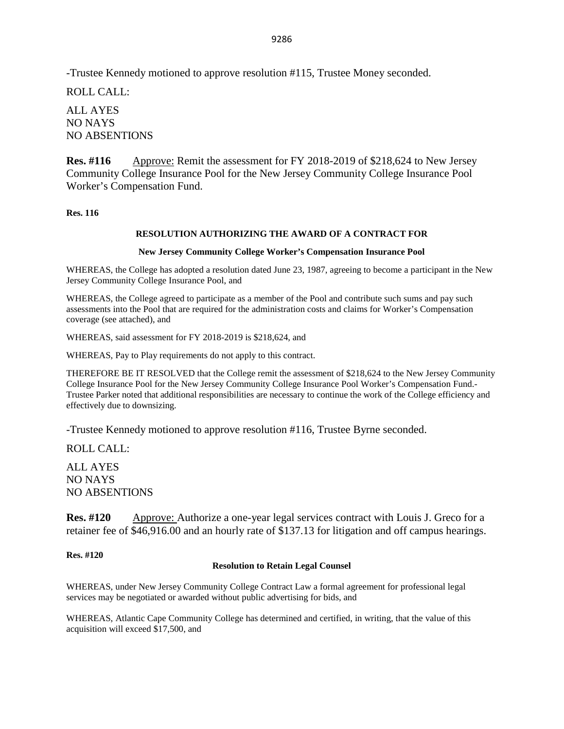-Trustee Kennedy motioned to approve resolution #115, Trustee Money seconded.

ROLL CALL:

ALL AYES NO NAYS NO ABSENTIONS

**Res. #116** Approve: Remit the assessment for FY 2018-2019 of \$218,624 to New Jersey Community College Insurance Pool for the New Jersey Community College Insurance Pool Worker's Compensation Fund.

**Res. 116**

### **RESOLUTION AUTHORIZING THE AWARD OF A CONTRACT FOR**

#### **New Jersey Community College Worker's Compensation Insurance Pool**

WHEREAS, the College has adopted a resolution dated June 23, 1987, agreeing to become a participant in the New Jersey Community College Insurance Pool, and

WHEREAS, the College agreed to participate as a member of the Pool and contribute such sums and pay such assessments into the Pool that are required for the administration costs and claims for Worker's Compensation coverage (see attached), and

WHEREAS, said assessment for FY 2018-2019 is \$218,624, and

WHEREAS, Pay to Play requirements do not apply to this contract.

THEREFORE BE IT RESOLVED that the College remit the assessment of \$218,624 to the New Jersey Community College Insurance Pool for the New Jersey Community College Insurance Pool Worker's Compensation Fund.- Trustee Parker noted that additional responsibilities are necessary to continue the work of the College efficiency and effectively due to downsizing.

-Trustee Kennedy motioned to approve resolution #116, Trustee Byrne seconded.

ROLL CALL:

ALL AYES NO NAYS NO ABSENTIONS

**Res. #120** Approve: Authorize a one-year legal services contract with Louis J. Greco for a retainer fee of \$46,916.00 and an hourly rate of \$137.13 for litigation and off campus hearings.

**Res. #120**

#### **Resolution to Retain Legal Counsel**

WHEREAS, under New Jersey Community College Contract Law a formal agreement for professional legal services may be negotiated or awarded without public advertising for bids, and

WHEREAS, Atlantic Cape Community College has determined and certified, in writing, that the value of this acquisition will exceed \$17,500, and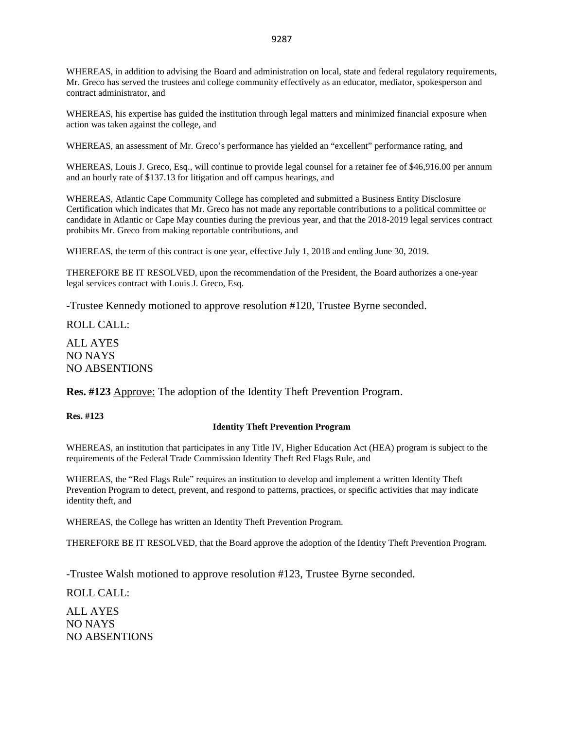WHEREAS, in addition to advising the Board and administration on local, state and federal regulatory requirements, Mr. Greco has served the trustees and college community effectively as an educator, mediator, spokesperson and contract administrator, and

WHEREAS, his expertise has guided the institution through legal matters and minimized financial exposure when action was taken against the college, and

WHEREAS, an assessment of Mr. Greco's performance has yielded an "excellent" performance rating, and

WHEREAS, Louis J. Greco, Esq., will continue to provide legal counsel for a retainer fee of \$46,916.00 per annum and an hourly rate of \$137.13 for litigation and off campus hearings, and

WHEREAS, Atlantic Cape Community College has completed and submitted a Business Entity Disclosure Certification which indicates that Mr. Greco has not made any reportable contributions to a political committee or candidate in Atlantic or Cape May counties during the previous year, and that the 2018-2019 legal services contract prohibits Mr. Greco from making reportable contributions, and

WHEREAS, the term of this contract is one year*,* effective July 1, 2018 and ending June 30, 2019.

THEREFORE BE IT RESOLVED, upon the recommendation of the President, the Board authorizes a one-year legal services contract with Louis J. Greco, Esq.

-Trustee Kennedy motioned to approve resolution #120, Trustee Byrne seconded.

ROLL CALL:

ALL AYES NO NAYS NO ABSENTIONS

**Res. #123** Approve: The adoption of the Identity Theft Prevention Program.

**Res. #123**

#### **Identity Theft Prevention Program**

WHEREAS, an institution that participates in any Title IV, Higher Education Act (HEA) program is subject to the requirements of the Federal Trade Commission Identity Theft Red Flags Rule, and

WHEREAS, the "Red Flags Rule" requires an institution to develop and implement a written Identity Theft Prevention Program to detect, prevent, and respond to patterns, practices, or specific activities that may indicate identity theft, and

WHEREAS, the College has written an Identity Theft Prevention Program.

THEREFORE BE IT RESOLVED, that the Board approve the adoption of the Identity Theft Prevention Program.

-Trustee Walsh motioned to approve resolution #123, Trustee Byrne seconded.

ROLL CALL:

ALL AYES NO NAYS NO ABSENTIONS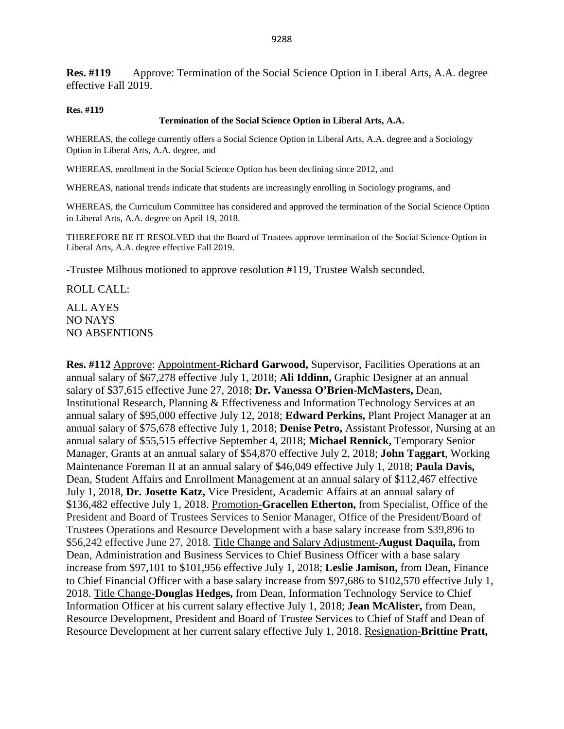**Res. #119** Approve: Termination of the Social Science Option in Liberal Arts, A.A. degree effective Fall 2019.

#### **Res. #119**

#### **Termination of the Social Science Option in Liberal Arts, A.A.**

WHEREAS, the college currently offers a Social Science Option in Liberal Arts, A.A. degree and a Sociology Option in Liberal Arts, A.A. degree, and

WHEREAS, enrollment in the Social Science Option has been declining since 2012, and

WHEREAS, national trends indicate that students are increasingly enrolling in Sociology programs, and

WHEREAS, the Curriculum Committee has considered and approved the termination of the Social Science Option in Liberal Arts, A.A. degree on April 19, 2018.

THEREFORE BE IT RESOLVED that the Board of Trustees approve termination of the Social Science Option in Liberal Arts, A.A. degree effective Fall 2019.

-Trustee Milhous motioned to approve resolution #119, Trustee Walsh seconded.

ROLL CALL:

ALL AYES NO NAYS NO ABSENTIONS

**Res. #112** Approve: Appointment-**Richard Garwood,** Supervisor, Facilities Operations at an annual salary of \$67,278 effective July 1, 2018; **Ali Iddinn,** Graphic Designer at an annual salary of \$37,615 effective June 27, 2018; **Dr. Vanessa O'Brien-McMasters,** Dean, Institutional Research, Planning & Effectiveness and Information Technology Services at an annual salary of \$95,000 effective July 12, 2018; **Edward Perkins,** Plant Project Manager at an annual salary of \$75,678 effective July 1, 2018; **Denise Petro,** Assistant Professor, Nursing at an annual salary of \$55,515 effective September 4, 2018; **Michael Rennick,** Temporary Senior Manager, Grants at an annual salary of \$54,870 effective July 2, 2018; **John Taggart**, Working Maintenance Foreman II at an annual salary of \$46,049 effective July 1, 2018; **Paula Davis,**  Dean, Student Affairs and Enrollment Management at an annual salary of \$112,467 effective July 1, 2018, **Dr. Josette Katz,** Vice President, Academic Affairs at an annual salary of \$136,482 effective July 1, 2018. Promotion-**Gracellen Etherton,** from Specialist, Office of the President and Board of Trustees Services to Senior Manager, Office of the President/Board of Trustees Operations and Resource Development with a base salary increase from \$39,896 to \$56,242 effective June 27, 2018. Title Change and Salary Adjustment-**August Daquila,** from Dean, Administration and Business Services to Chief Business Officer with a base salary increase from \$97,101 to \$101,956 effective July 1, 2018; **Leslie Jamison,** from Dean, Finance to Chief Financial Officer with a base salary increase from \$97,686 to \$102,570 effective July 1, 2018. Title Change-**Douglas Hedges,** from Dean, Information Technology Service to Chief Information Officer at his current salary effective July 1, 2018; **Jean McAlister,** from Dean, Resource Development, President and Board of Trustee Services to Chief of Staff and Dean of Resource Development at her current salary effective July 1, 2018. Resignation-**Brittine Pratt,**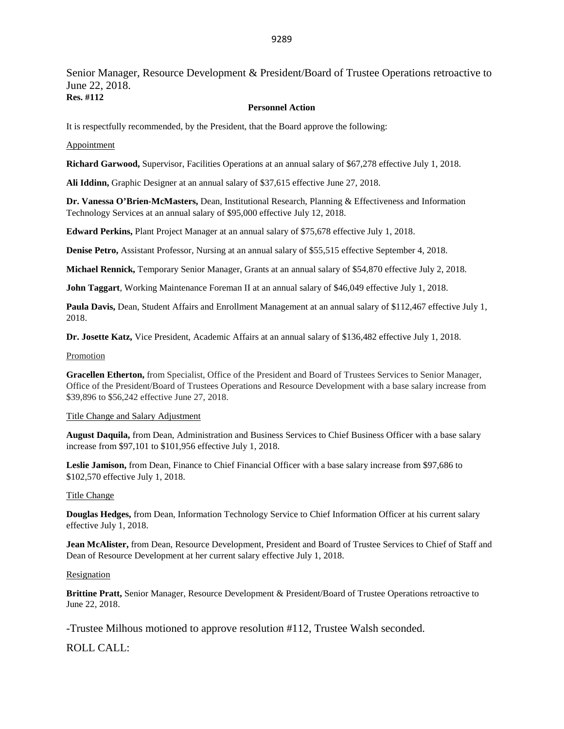Senior Manager, Resource Development & President/Board of Trustee Operations retroactive to June 22, 2018.

**Res. #112**

#### **Personnel Action**

It is respectfully recommended, by the President, that the Board approve the following:

#### Appointment

**Richard Garwood,** Supervisor, Facilities Operations at an annual salary of \$67,278 effective July 1, 2018.

**Ali Iddinn,** Graphic Designer at an annual salary of \$37,615 effective June 27, 2018.

**Dr. Vanessa O'Brien-McMasters,** Dean, Institutional Research, Planning & Effectiveness and Information Technology Services at an annual salary of \$95,000 effective July 12, 2018.

**Edward Perkins,** Plant Project Manager at an annual salary of \$75,678 effective July 1, 2018.

**Denise Petro,** Assistant Professor, Nursing at an annual salary of \$55,515 effective September 4, 2018.

**Michael Rennick,** Temporary Senior Manager, Grants at an annual salary of \$54,870 effective July 2, 2018.

**John Taggart**, Working Maintenance Foreman II at an annual salary of \$46,049 effective July 1, 2018.

**Paula Davis,** Dean, Student Affairs and Enrollment Management at an annual salary of \$112,467 effective July 1, 2018.

**Dr. Josette Katz,** Vice President, Academic Affairs at an annual salary of \$136,482 effective July 1, 2018.

#### Promotion

**Gracellen Etherton,** from Specialist, Office of the President and Board of Trustees Services to Senior Manager, Office of the President/Board of Trustees Operations and Resource Development with a base salary increase from \$39,896 to \$56,242 effective June 27, 2018.

#### Title Change and Salary Adjustment

**August Daquila,** from Dean, Administration and Business Services to Chief Business Officer with a base salary increase from \$97,101 to \$101,956 effective July 1, 2018.

**Leslie Jamison,** from Dean, Finance to Chief Financial Officer with a base salary increase from \$97,686 to \$102,570 effective July 1, 2018.

#### Title Change

**Douglas Hedges,** from Dean, Information Technology Service to Chief Information Officer at his current salary effective July 1, 2018.

**Jean McAlister,** from Dean, Resource Development, President and Board of Trustee Services to Chief of Staff and Dean of Resource Development at her current salary effective July 1, 2018.

#### Resignation

**Brittine Pratt,** Senior Manager, Resource Development & President/Board of Trustee Operations retroactive to June 22, 2018.

-Trustee Milhous motioned to approve resolution #112, Trustee Walsh seconded.

ROLL CALL: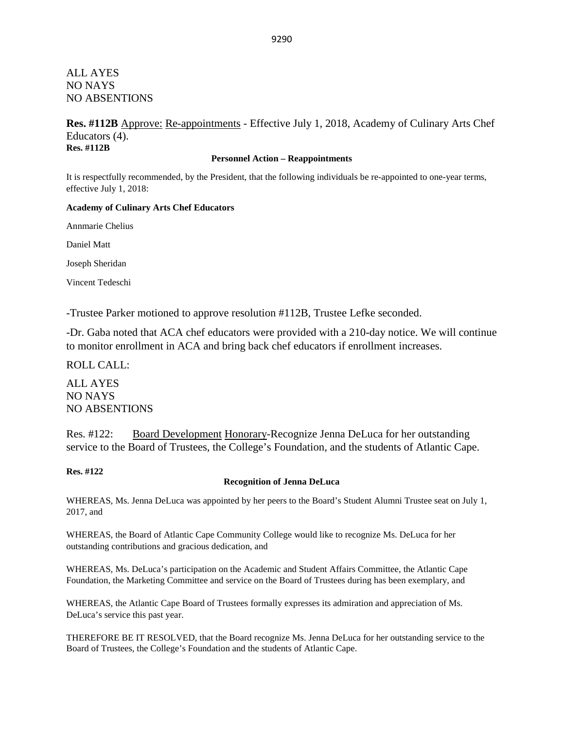### ALL AYES NO NAYS NO ABSENTIONS

### **Res. #112B** Approve: Re-appointments - Effective July 1, 2018, Academy of Culinary Arts Chef Educators (4). **Res. #112B**

#### **Personnel Action – Reappointments**

It is respectfully recommended, by the President, that the following individuals be re-appointed to one-year terms, effective July 1, 2018:

#### **Academy of Culinary Arts Chef Educators**

Annmarie Chelius

Daniel Matt

Joseph Sheridan

Vincent Tedeschi

-Trustee Parker motioned to approve resolution #112B, Trustee Lefke seconded.

-Dr. Gaba noted that ACA chef educators were provided with a 210-day notice. We will continue to monitor enrollment in ACA and bring back chef educators if enrollment increases.

ROLL CALL:

ALL AYES NO NAYS NO ABSENTIONS

Res. #122: Board Development Honorary-Recognize Jenna DeLuca for her outstanding service to the Board of Trustees, the College's Foundation, and the students of Atlantic Cape.

**Res. #122**

#### **Recognition of Jenna DeLuca**

WHEREAS, Ms. Jenna DeLuca was appointed by her peers to the Board's Student Alumni Trustee seat on July 1, 2017, and

WHEREAS, the Board of Atlantic Cape Community College would like to recognize Ms. DeLuca for her outstanding contributions and gracious dedication, and

WHEREAS, Ms. DeLuca's participation on the Academic and Student Affairs Committee, the Atlantic Cape Foundation, the Marketing Committee and service on the Board of Trustees during has been exemplary, and

WHEREAS, the Atlantic Cape Board of Trustees formally expresses its admiration and appreciation of Ms. DeLuca's service this past year.

THEREFORE BE IT RESOLVED, that the Board recognize Ms. Jenna DeLuca for her outstanding service to the Board of Trustees, the College's Foundation and the students of Atlantic Cape.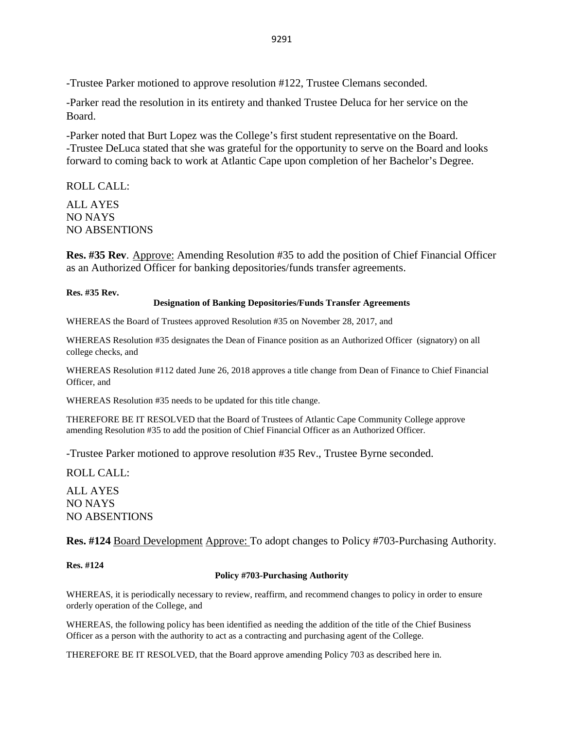-Trustee Parker motioned to approve resolution #122, Trustee Clemans seconded.

-Parker read the resolution in its entirety and thanked Trustee Deluca for her service on the Board.

-Parker noted that Burt Lopez was the College's first student representative on the Board. -Trustee DeLuca stated that she was grateful for the opportunity to serve on the Board and looks forward to coming back to work at Atlantic Cape upon completion of her Bachelor's Degree.

### ROLL CALL:

ALL AYES NO NAYS NO ABSENTIONS

Res. #35 Rev. Approve: Amending Resolution #35 to add the position of Chief Financial Officer as an Authorized Officer for banking depositories/funds transfer agreements.

**Res. #35 Rev.**

#### **Designation of Banking Depositories/Funds Transfer Agreements**

WHEREAS the Board of Trustees approved Resolution #35 on November 28, 2017, and

WHEREAS Resolution #35 designates the Dean of Finance position as an Authorized Officer (signatory) on all college checks, and

WHEREAS Resolution #112 dated June 26, 2018 approves a title change from Dean of Finance to Chief Financial Officer, and

WHEREAS Resolution #35 needs to be updated for this title change.

THEREFORE BE IT RESOLVED that the Board of Trustees of Atlantic Cape Community College approve amending Resolution #35 to add the position of Chief Financial Officer as an Authorized Officer.

-Trustee Parker motioned to approve resolution #35 Rev., Trustee Byrne seconded.

ROLL CALL:

ALL AYES NO NAYS NO ABSENTIONS

**Res. #124** Board Development Approve: To adopt changes to Policy #703-Purchasing Authority.

**Res. #124**

### **Policy #703-Purchasing Authority**

WHEREAS, it is periodically necessary to review, reaffirm, and recommend changes to policy in order to ensure orderly operation of the College, and

WHEREAS, the following policy has been identified as needing the addition of the title of the Chief Business Officer as a person with the authority to act as a contracting and purchasing agent of the College.

THEREFORE BE IT RESOLVED, that the Board approve amending Policy 703 as described here in.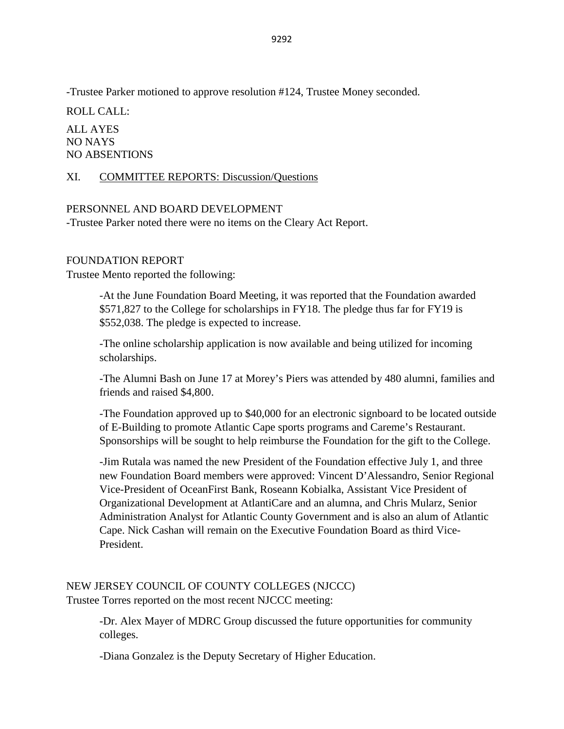-Trustee Parker motioned to approve resolution #124, Trustee Money seconded.

ROLL CALL:

ALL AYES NO NAYS NO ABSENTIONS

### XI. COMMITTEE REPORTS: Discussion/Questions

### PERSONNEL AND BOARD DEVELOPMENT

-Trustee Parker noted there were no items on the Cleary Act Report.

### FOUNDATION REPORT

Trustee Mento reported the following:

-At the June Foundation Board Meeting, it was reported that the Foundation awarded \$571,827 to the College for scholarships in FY18. The pledge thus far for FY19 is \$552,038. The pledge is expected to increase.

-The online scholarship application is now available and being utilized for incoming scholarships.

-The Alumni Bash on June 17 at Morey's Piers was attended by 480 alumni, families and friends and raised \$4,800.

-The Foundation approved up to \$40,000 for an electronic signboard to be located outside of E-Building to promote Atlantic Cape sports programs and Careme's Restaurant. Sponsorships will be sought to help reimburse the Foundation for the gift to the College.

-Jim Rutala was named the new President of the Foundation effective July 1, and three new Foundation Board members were approved: Vincent D'Alessandro, Senior Regional Vice-President of OceanFirst Bank, Roseann Kobialka, Assistant Vice President of Organizational Development at AtlantiCare and an alumna, and Chris Mularz, Senior Administration Analyst for Atlantic County Government and is also an alum of Atlantic Cape. Nick Cashan will remain on the Executive Foundation Board as third Vice-President.

NEW JERSEY COUNCIL OF COUNTY COLLEGES (NJCCC) Trustee Torres reported on the most recent NJCCC meeting:

> -Dr. Alex Mayer of MDRC Group discussed the future opportunities for community colleges.

-Diana Gonzalez is the Deputy Secretary of Higher Education.